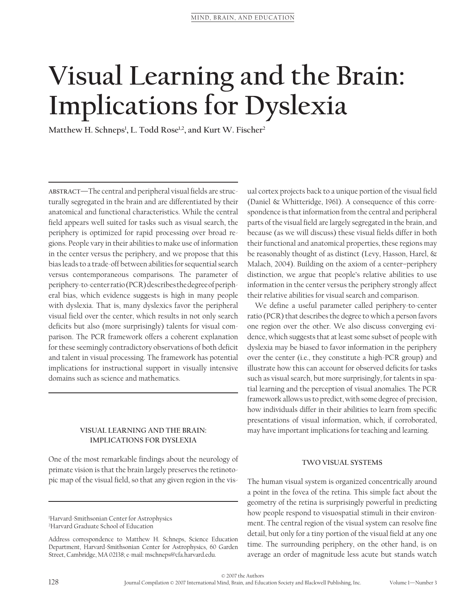# **Visual Learning and the Brain: Implications for Dyslexia**

Matthew H. Schneps<sup>1</sup>, L. Todd Rose<sup>1,2</sup>, and Kurt W. Fischer<sup>2</sup>

ABSTRACT—The central and peripheral visual fields are structurally segregated in the brain and are differentiated by their anatomical and functional characteristics. While the central field appears well suited for tasks such as visual search, the periphery is optimized for rapid processing over broad regions. People vary in their abilities to make use of information in the center versus the periphery, and we propose that this bias leads to a trade-off between abilities for sequential search versus contemporaneous comparisons. The parameter of periphery-to-center ratio (PCR) describes the degree of periph eral bias, which evidence suggests is high in many people with dyslexia. That is, many dyslexics favor the peripheral visual field over the center, which results in not only search deficits but also (more surprisingly) talents for visual comparison. The PCR framework offers a coherent explanation for these seemingly contradictory observations of both deficit and talent in visual processing. The framework has potential implications for instructional support in visually intensive domains such as science and mathematics.

## **VISUAL LEARNING AND THE BRAIN: IMPLICATIONS FOR DYSLEXIA**

One of the most remarkable findings about the neurology of primate vision is that the brain largely preserves the retinotopic map of the visual field, so that any given region in the vis-

ual cortex projects back to a unique portion of the visual field (Daniel & Whitteridge, 1961). A consequence of this correspondence is that information from the central and peripheral parts of the visual field are largely segregated in the brain, and because (as we will discuss) these visual fields differ in both their functional and anatomical properties, these regions may be reasonably thought of as distinct ( Levy, Hasson, Harel, & Malach, 2004). Building on the axiom of a center-periphery distinction, we argue that people's relative abilities to use information in the center versus the periphery strongly affect their relative abilities for visual search and comparison.

We define a useful parameter called periphery-to-center ratio (PCR) that describes the degree to which a person favors one region over the other. We also discuss converging evidence, which suggests that at least some subset of people with dyslexia may be biased to favor information in the periphery over the center (i.e., they constitute a high-PCR group) and illustrate how this can account for observed deficits for tasks such as visual search, but more surprisingly, for talents in spatial learning and the perception of visual anomalies. The PCR framework allows us to predict, with some degree of precision, how individuals differ in their abilities to learn from specific presentations of visual information, which, if corroborated, may have important implications for teaching and learning.

# **TWO VISUAL SYSTEMS**

 The human visual system is organized concentrically around a point in the fovea of the retina. This simple fact about the geometry of the retina is surprisingly powerful in predicting how people respond to visuospatial stimuli in their environment. The central region of the visual system can resolve fine detail, but only for a tiny portion of the visual field at any one time. The surrounding periphery, on the other hand, is on average an order of magnitude less acute but stands watch

<sup>&</sup>lt;sup>1</sup>Harvard-Smithsonian Center for Astrophysics 2 Harvard Graduate School of Education

Address correspondence to Matthew H. Schneps, Science Education Department, Harvard-Smithsonian Center for Astrophysics, 60 Garden Street, Cambridge, MA 02138; e-mail: mschneps@cfa.harvard.edu .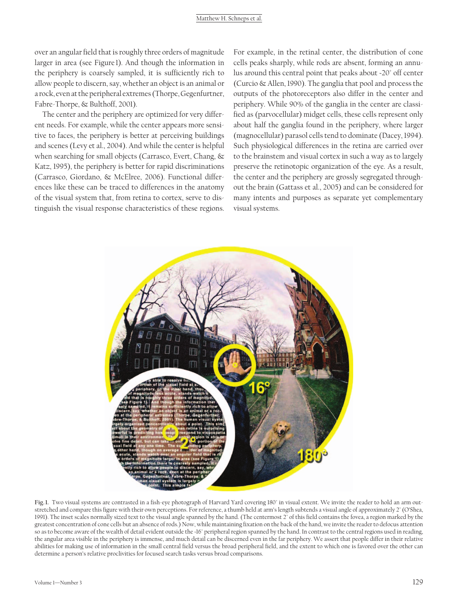#### Matthew H. Schneps et al.

over an angular field that is roughly three orders of magnitude larger in area (see Figure 1). And though the information in the periphery is coarsely sampled, it is sufficiently rich to allow people to discern, say, whether an object is an animal or a rock, even at the peripheral extremes ( Thorpe, Gegenfurtner, Fabre-Thorpe, & Bulthoff, 2001).

 The center and the periphery are optimized for very different needs. For example, while the center appears more sensitive to faces, the periphery is better at perceiving buildings and scenes ( Levy et al., 2004 ). And while the center is helpful when searching for small objects (Carrasco, Evert, Chang, & Katz, 1995), the periphery is better for rapid discriminations ( Carrasco, Giordano, & McElree, 2006 ). Functional differences like these can be traced to differences in the anatomy of the visual system that, from retina to cortex, serve to distinguish the visual response characteristics of these regions. For example, in the retinal center, the distribution of cone cells peaks sharply, while rods are absent, forming an annulus around this central point that peaks about ~20° off center (Curcio & Allen, 1990). The ganglia that pool and process the outputs of the photoreceptors also differ in the center and periphery. While 90% of the ganglia in the center are classified as (parvocellular) midget cells, these cells represent only about half the ganglia found in the periphery, where larger (magnocellular) parasol cells tend to dominate ( Dacey, 1994 ). Such physiological differences in the retina are carried over to the brainstem and visual cortex in such a way as to largely preserve the retinotopic organization of the eye. As a result, the center and the periphery are grossly segregated throughout the brain (Gattass et al., 2005) and can be considered for many intents and purposes as separate yet complementary visual systems.



Fig. 1. Two visual systems are contrasted in a fish-eye photograph of Harvard Yard covering 180° in visual extent. We invite the reader to hold an arm outstretched and compare this figure with their own perceptions. For reference, a thumb held at arm's length subtends a visual angle of approximately 2° (O'Shea, 1991). The inset scales normally sized text to the visual angle spanned by the hand. (The centermost 2° of this field contains the fovea, a region marked by the greatest concentration of cone cells but an absence of rods.) Now, while maintaining fixation on the back of the hand, we invite the reader to defocus attention so as to become aware of the wealth of detail evident outside the ~16° peripheral region spanned by the hand. In contrast to the central regions used in reading, the angular area visible in the periphery is immense, and much detail can be discerned even in the far periphery. We assert that people differ in their relative abilities for making use of information in the small central field versus the broad peripheral field, and the extent to which one is favored over the other can determine a person's relative proclivities for focused search tasks versus broad comparisons.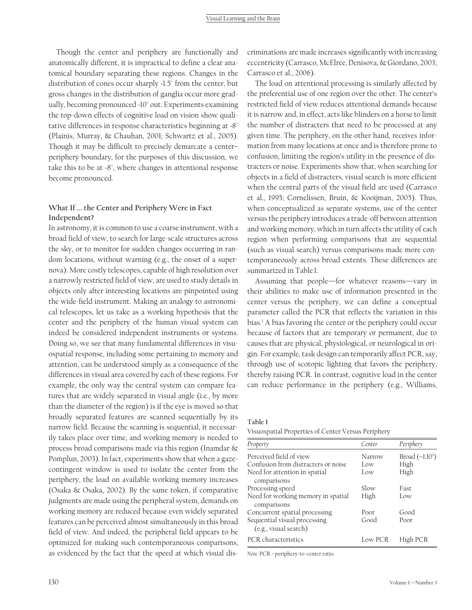Though the center and periphery are functionally and anatomically different, it is impractical to define a clear anatomical boundary separating these regions. Changes in the distribution of cones occur sharply ~1.5° from the center, but gross changes in the distribution of ganglia occur more gradually, becoming pronounced ~10° out. Experiments examining the top-down effects of cognitive load on vision show qualitative differences in response characteristics beginning at ~8° ( Plainis, Murray, & Chauhan, 2001; Schwartz et al., 2005 ). Though it may be difficult to precisely demarcate a center periphery boundary, for the purposes of this discussion, we take this to be at ~8°, where changes in attentional response become pronounced.

# **What If ... the Center and Periphery Were in Fact Independent?**

 In astronomy, it is common to use a coarse instrument, with a broad field of view, to search for large-scale structures across the sky, or to monitor for sudden changes occurring in random locations, without warning (e.g., the onset of a supernova). More costly telescopes, capable of high resolution over a narrowly restricted field of view, are used to study details in objects only after interesting locations are pinpointed using the wide-field instrument. Making an analogy to astronomical telescopes, let us take as a working hypothesis that the center and the periphery of the human visual system can indeed be considered independent instruments or systems. Doing so, we see that many fundamental differences in visuospatial response, including some pertaining to memory and attention, can be understood simply as a consequence of the differences in visual area covered by each of these regions. For example, the only way the central system can compare features that are widely separated in visual angle (i.e., by more than the diameter of the region) is if the eye is moved so that broadly separated features are scanned sequentially by its narrow field. Because the scanning is sequential, it necessarily takes place over time, and working memory is needed to process broad comparisons made via this region ( Inamdar & Pomplun, 2003). In fact, experiments show that when a gazecontingent window is used to isolate the center from the periphery, the load on available working memory increases ( Osaka & Osaka, 2002 ). By the same token, if comparative judgments are made using the peripheral system, demands on working memory are reduced because even widely separated features can be perceived almost simultaneously in this broad field of view. And indeed, the peripheral field appears to be optimized for making such contemporaneous comparisons, as evidenced by the fact that the speed at which visual discriminations are made increases significantly with increasing eccentricity (Carrasco, McElree, Denisova, & Giordano, 2003; Carrasco et al., 2006).

 The load on attentional processing is similarly affected by the preferential use of one region over the other. The center's restricted field of view reduces attentional demands because it is narrow and, in effect, acts like blinders on a horse to limit the number of distracters that need to be processed at any given time. The periphery, on the other hand, receives information from many locations at once and is therefore prone to confusion, limiting the region's utility in the presence of distracters or noise. Experiments show that, when searching for objects in a field of distracters, visual search is more efficient when the central parts of the visual field are used (Carrasco) et al., 1995; Cornelissen, Bruin, & Kooijman, 2005 ). Thus, when conceptualized as separate systems, use of the center versus the periphery introduces a trade-off between attention and working memory, which in turn affects the utility of each region when performing comparisons that are sequential (such as visual search) versus comparisons made more contemporaneously across broad extents. These differences are summarized in Table 1.

Assuming that people—for whatever reasons—vary in their abilities to make use of information presented in the center versus the periphery, we can define a conceptual parameter called the PCR that reflects the variation in this bias. 1 A bias favoring the center or the periphery could occur because of factors that are temporary or permanent, due to causes that are physical, physiological, or neurological in origin. For example, task design can temporarily affect PCR, say, through use of scotopic lighting that favors the periphery, thereby raising PCR. In contrast, cognitive load in the center can reduce performance in the periphery (e.g., Williams,

#### **Table 1**

| Property                            | Center  | Periphery             |
|-------------------------------------|---------|-----------------------|
| Perceived field of view             | Narrow  | Broad $(\sim 1:10^3)$ |
| Confusion from distracters or noise | Low     | High                  |
| Need for attention in spatial       | Low     | High                  |
| comparisons                         |         |                       |
| Processing speed                    | Slow    | Fast                  |
| Need for working memory in spatial  | High    | Low                   |
| comparisons                         |         |                       |
| Concurrent spatial processing       | Poor    | Good                  |
| Sequential visual processing        | Good    | Poor                  |
| (e.g., visual search)               |         |                       |
| PCR characteristics                 | Low PCR | High<br>CR            |

*Note.* PCR = periphery-to-center ratio.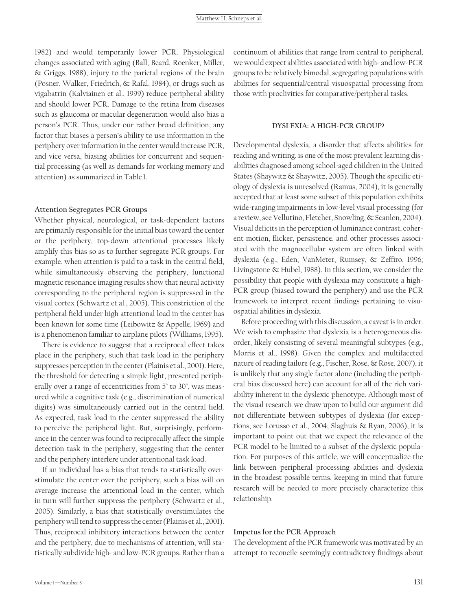1982) and would temporarily lower PCR. Physiological changes associated with aging ( Ball, Beard, Roenker, Miller, & Griggs, 1988 ), injury to the parietal regions of the brain ( Posner, Walker, Friedrich, & Rafal, 1984 ), or drugs such as vigabatrin (Kalviainen et al., 1999) reduce peripheral ability and should lower PCR. Damage to the retina from diseases such as glaucoma or macular degeneration would also bias a person's PCR. Thus, under our rather broad definition, any factor that biases a person's ability to use information in the periphery over information in the center would increase PCR, and vice versa, biasing abilities for concurrent and sequential processing (as well as demands for working memory and attention) as summarized in Table l.

## **Attention Segregates PCR Groups**

 Whether physical, neurological, or task-dependent factors are primarily responsible for the initial bias toward the center or the periphery, top-down attentional processes likely amplify this bias so as to further segregate PCR groups. For example, when attention is paid to a task in the central field, while simultaneously observing the periphery, functional magnetic resonance imaging results show that neural activity corresponding to the peripheral region is suppressed in the visual cortex ( Schwartz et al., 2005 ). This constriction of the peripheral field under high attentional load in the center has been known for some time (Leibowitz & Appelle, 1969) and is a phenomenon familiar to airplane pilots (Williams, 1995).

 There is evidence to suggest that a reciprocal effect takes place in the periphery, such that task load in the periphery suppresses perception in the center (Plainis et al., 2001). Here, the threshold for detecting a simple light, presented peripherally over a range of eccentricities from 5° to 30°, was measured while a cognitive task (e.g., discrimination of numerical digits) was simultaneously carried out in the central field. As expected, task load in the center suppressed the ability to perceive the peripheral light. But, surprisingly, performance in the center was found to reciprocally affect the simple detection task in the periphery, suggesting that the center and the periphery interfere under attentional task load.

 If an individual has a bias that tends to statistically overstimulate the center over the periphery, such a bias will on average increase the attentional load in the center, which in turn will further suppress the periphery ( Schwartz et al., 2005 ). Similarly, a bias that statistically overstimulates the periphery will tend to suppress the center (Plainis et al., 2001). Thus, reciprocal inhibitory interactions between the center and the periphery, due to mechanisms of attention, will statistically subdivide high- and low-PCR groups. Rather than a

continuum of abilities that range from central to peripheral, we would expect abilities associated with high- and low-PCR groups to be relatively bimodal, segregating populations with abilities for sequential/central visuospatial processing from those with proclivities for comparative/peripheral tasks.

#### **DYSLEXIA: A HIGH-PCR GROUP?**

 Developmental dyslexia, a disorder that affects abilities for reading and writing, is one of the most prevalent learning disabilities diagnosed among school-aged children in the United States (Shaywitz & Shaywitz, 2005). Though the specific etiology of dyslexia is unresolved ( Ramus, 2004 ), it is generally accepted that at least some subset of this population exhibits wide-ranging impairments in low-level visual processing (for a review, see Vellutino, Fletcher, Snowling, & Scanlon, 2004 ). Visual deficits in the perception of luminance contrast, coherent motion, flicker, persistence, and other processes associated with the magnocellular system are often linked with dyslexia (e.g., Eden, VanMeter, Rumsey, & Zeffiro, 1996; Livingstone & Hubel, 1988 ). In this section, we consider the possibility that people with dyslexia may constitute a high-PCR group (biased toward the periphery) and use the PCR framework to interpret recent findings pertaining to visuospatial abilities in dyslexia.

 Before proceeding with this discussion, a caveat is in order. We wish to emphasize that dyslexia is a heterogeneous disorder, likely consisting of several meaningful subtypes (e.g., Morris et al., 1998). Given the complex and multifaceted nature of reading failure (e.g., Fischer, Rose, & Rose, 2007 ), it is unlikely that any single factor alone (including the peripheral bias discussed here) can account for all of the rich variability inherent in the dyslexic phenotype. Although most of the visual research we draw upon to build our argument did not differentiate between subtypes of dyslexia (for exceptions, see Lorusso et al., 2004; Slaghuis & Ryan, 2006), it is important to point out that we expect the relevance of the PCR model to be limited to a subset of the dyslexic population. For purposes of this article, we will conceptualize the link between peripheral processing abilities and dyslexia in the broadest possible terms, keeping in mind that future research will be needed to more precisely characterize this relationship.

## **Impetus for the PCR Approach**

 The development of the PCR framework was motivated by an attempt to reconcile seemingly contradictory findings about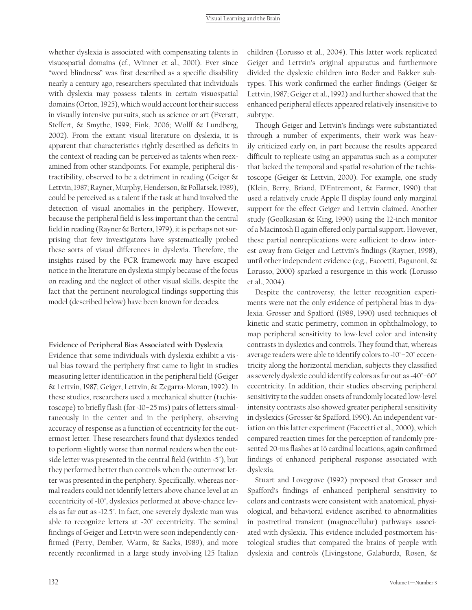whether dyslexia is associated with compensating talents in visuospatial domains (cf., Winner et al., 2001). Ever since " word blindness" was first described as a specific disability nearly a century ago, researchers speculated that individuals with dyslexia may possess talents in certain visuospatial domains (Orton, 1925), which would account for their success in visually intensive pursuits, such as science or art (Everatt, Steffert, & Smythe, 1999; Fink, 2006; Wolff & Lundberg, 2002). From the extant visual literature on dyslexia, it is apparent that characteristics rightly described as deficits in the context of reading can be perceived as talents when reexamined from other standpoints. For example, peripheral distractibility, observed to be a detriment in reading (Geiger & Lettvin, 1987; Rayner, Murphy, Henderson, & Pollatsek, 1989 ), could be perceived as a talent if the task at hand involved the detection of visual anomalies in the periphery. However, because the peripheral field is less important than the central field in reading (Rayner & Bertera, 1979), it is perhaps not surprising that few investigators have systematically probed these sorts of visual differences in dyslexia. Therefore, the insights raised by the PCR framework may have escaped notice in the literature on dyslexia simply because of the focus on reading and the neglect of other visual skills, despite the fact that the pertinent neurological findings supporting this model (described below) have been known for decades.

## **Evidence of Peripheral Bias Associated with Dyslexia**

 Evidence that some individuals with dyslexia exhibit a visual bias toward the periphery first came to light in studies measuring letter identification in the peripheral field (Geiger & Lettvin, 1987; Geiger, Lettvin, & Zegarra-Moran, 1992 ). In these studies, researchers used a mechanical shutter (tachistoscope) to briefly flash (for ~10-25 ms) pairs of letters simultaneously in the center and in the periphery, observing accuracy of response as a function of eccentricity for the outermost letter. These researchers found that dyslexics tended to perform slightly worse than normal readers when the outside letter was presented in the central field (within  $-5^{\circ}$ ), but they performed better than controls when the outermost letter was presented in the periphery. Specifically, whereas normal readers could not identify letters above chance level at an eccentricity of ~10°, dyslexics performed at above-chance levels as far out as ~12.5°. In fact, one severely dyslexic man was able to recognize letters at ~20° eccentricity. The seminal findings of Geiger and Lettvin were soon independently confirmed (Perry, Dember, Warm, & Sacks, 1989), and more recently reconfirmed in a large study involving 125 Italian

children (Lorusso et al., 2004). This latter work replicated Geiger and Lettvin's original apparatus and furthermore divided the dyslexic children into Boder and Bakker subtypes. This work confirmed the earlier findings (Geiger  $\&$ Lettvin, 1987; Geiger et al., 1992 ) and further showed that the enhanced peripheral effects appeared relatively insensitive to subtype.

Though Geiger and Lettvin's findings were substantiated through a number of experiments, their work was heavily criticized early on, in part because the results appeared difficult to replicate using an apparatus such as a computer that lacked the temporal and spatial resolution of the tachistoscope (Geiger & Lettvin, 2000). For example, one study (Klein, Berry, Briand, D'Entremont, & Farmer, 1990) that used a relatively crude Apple II display found only marginal support for the effect Geiger and Lettvin claimed. Another study ( Goolkasian & King, 1990 ) using the 12-inch monitor of a Macintosh II again offered only partial support. However, these partial nonreplications were sufficient to draw interest away from Geiger and Lettvin's findings (Rayner, 1998), until other independent evidence (e.g., Facoetti, Paganoni, & Lorusso, 2000) sparked a resurgence in this work (Lorusso et al., 2004).

 Despite the controversy, the letter recognition experiments were not the only evidence of peripheral bias in dyslexia. Grosser and Spafford (1989, 1990) used techniques of kinetic and static perimetry, common in ophthalmology, to map peripheral sensitivity to low-level color and intensity contrasts in dyslexics and controls. They found that, whereas average readers were able to identify colors to -10°-20° eccentricity along the horizontal meridian, subjects they classified as severely dyslexic could identify colors as far out as ~40° – 60° eccentricity. In addition, their studies observing peripheral sensitivity to the sudden onsets of randomly located low-level intensity contrasts also showed greater peripheral sensitivity in dyslexics (Grosser & Spafford, 1990). An independent variation on this latter experiment (Facoetti et al., 2000), which compared reaction times for the perception of randomly presented 20-ms flashes at 16 cardinal locations, again confirmed findings of enhanced peripheral response associated with dyslexia.

 Stuart and Lovegrove (1992) proposed that Grosser and Spafford's findings of enhanced peripheral sensitivity to colors and contrasts were consistent with anatomical, physiological, and behavioral evidence ascribed to abnormalities in postretinal transient (magnocellular) pathways associated with dyslexia. This evidence included postmortem histological studies that compared the brains of people with dyslexia and controls ( Livingstone, Galaburda, Rosen, &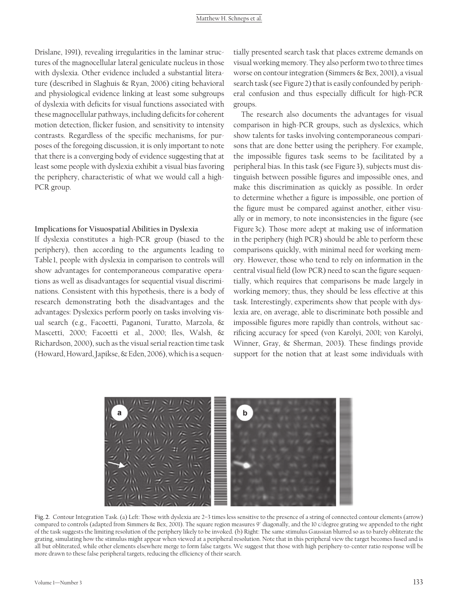Drislane, 1991), revealing irregularities in the laminar structures of the magnocellular lateral geniculate nucleus in those with dyslexia. Other evidence included a substantial literature (described in Slaghuis & Ryan, 2006 ) citing behavioral and physiological evidence linking at least some subgroups of dyslexia with deficits for visual functions associated with these magnocellular pathways, including deficits for coherent motion detection, flicker fusion, and sensitivity to intensity contrasts. Regardless of the specific mechanisms, for purposes of the foregoing discussion, it is only important to note that there is a converging body of evidence suggesting that at least some people with dyslexia exhibit a visual bias favoring the periphery, characteristic of what we would call a high-PCR group.

#### **Implications for Visuospatial Abilities in Dyslexia**

 If dyslexia constitutes a high-PCR group (biased to the periphery), then according to the arguments leading to Table 1, people with dyslexia in comparison to controls will show advantages for contemporaneous comparative operations as well as disadvantages for sequential visual discriminations. Consistent with this hypothesis, there is a body of research demonstrating both the disadvantages and the advantages: Dyslexics perform poorly on tasks involving visual search (e.g., Facoetti, Paganoni, Turatto, Marzola, & Mascetti, 2000; Facoetti et al., 2000; Iles, Walsh, & Richardson, 2000 ), such as the visual serial reaction time task ( Howard, Howard, Japikse, & Eden, 2006 ), which is a sequen-

tially presented search task that places extreme demands on visual working memory. They also perform two to three times worse on contour integration (Simmers & Bex, 2001), a visual search task (see Figure 2) that is easily confounded by peripheral confusion and thus especially difficult for high-PCR groups.

 The research also documents the advantages for visual comparison in high-PCR groups, such as dyslexics, which show talents for tasks involving contemporaneous comparisons that are done better using the periphery. For example, the impossible figures task seems to be facilitated by a peripheral bias. In this task (see Figure 3), subjects must distinguish between possible figures and impossible ones, and make this discrimination as quickly as possible. In order to determine whether a figure is impossible, one portion of the figure must be compared against another, either visually or in memory, to note inconsistencies in the figure (see Figure 3c). Those more adept at making use of information in the periphery (high PCR) should be able to perform these comparisons quickly, with minimal need for working memory. However, those who tend to rely on information in the central visual field (low PCR) need to scan the figure sequentially, which requires that comparisons be made largely in working memory; thus, they should be less effective at this task. Interestingly, experiments show that people with dyslexia are, on average, able to discriminate both possible and impossible figures more rapidly than controls, without sacrificing accuracy for speed (von Karolyi, 2001; von Karolyi, Winner, Gray, & Sherman, 2003). These findings provide support for the notion that at least some individuals with



Fig. 2. Contour Integration Task. (a) Left: Those with dyslexia are 2-3 times less sensitive to the presence of a string of connected contour elements (arrow) compared to controls (adapted from Simmers & Bex, 2001). The square region measures 9° diagonally, and the 10 c/degree grating we appended to the right of the task suggests the limiting resolution of the periphery likely to be invoked. (b) Right: The same stimulus Gaussian blurred so as to barely obliterate the grating, simulating how the stimulus might appear when viewed at a peripheral resolution. Note that in this peripheral view the target becomes fused and is all but obliterated, while other elements elsewhere merge to form false targets. We suggest that those with high periphery-to-center ratio response will be more drawn to these false peripheral targets, reducing the efficiency of their search.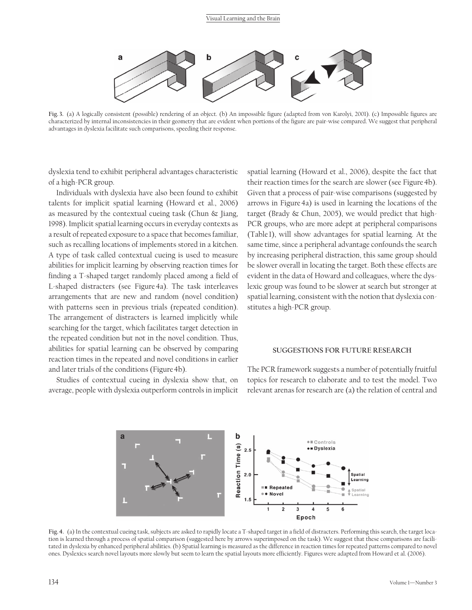

Fig. 3. (a) A logically consistent (possible) rendering of an object. (b) An impossible figure (adapted from von Karolyi, 2001). (c) Impossible figures are characterized by internal inconsistencies in their geometry that are evident when portions of the figure are pair-wise compared. We suggest that peripheral advantages in dyslexia facilitate such comparisons, speeding their response.

dyslexia tend to exhibit peripheral advantages characteristic of a high-PCR group.

 Individuals with dyslexia have also been found to exhibit talents for implicit spatial learning (Howard et al., 2006) as measured by the contextual cueing task (Chun  $\&$  Jiang, 1998 ). Implicit spatial learning occurs in everyday contexts as a result of repeated exposure to a space that becomes familiar, such as recalling locations of implements stored in a kitchen. A type of task called contextual cueing is used to measure abilities for implicit learning by observing reaction times for finding a T-shaped target randomly placed among a field of L-shaped distracters (see Figure 4a). The task interleaves arrangements that are new and random (novel condition) with patterns seen in previous trials (repeated condition). The arrangement of distracters is learned implicitly while searching for the target, which facilitates target detection in the repeated condition but not in the novel condition. Thus, abilities for spatial learning can be observed by comparing reaction times in the repeated and novel conditions in earlier and later trials of the conditions ( Figure 4b ).

 Studies of contextual cueing in dyslexia show that, on average, people with dyslexia outperform controls in implicit

spatial learning ( Howard et al., 2006 ), despite the fact that their reaction times for the search are slower (see Figure 4b ). Given that a process of pair-wise comparisons (suggested by arrows in Figure 4a) is used in learning the locations of the target (Brady  $\&$  Chun, 2005), we would predict that high-PCR groups, who are more adept at peripheral comparisons (Table 1), will show advantages for spatial learning. At the same time, since a peripheral advantage confounds the search by increasing peripheral distraction, this same group should be slower overall in locating the target. Both these effects are evident in the data of Howard and colleagues, where the dyslexic group was found to be slower at search but stronger at spatial learning, consistent with the notion that dyslexia constitutes a high-PCR group.

#### **SUGGESTIONS FOR FUTURE RESEARCH**



Fig. 4. (a) In the contextual cueing task, subjects are asked to rapidly locate a T-shaped target in a field of distracters. Performing this search, the target location is learned through a process of spatial comparison (suggested here by arrows superimposed on the task). We suggest that these comparisons are facilitated in dyslexia by enhanced peripheral abilities. (b) Spatial learning is measured as the difference in reaction times for repeated patterns compared to novel ones. Dyslexics search novel layouts more slowly but seem to learn the spatial layouts more efficiently. Figures were adapted from Howard et al. (2006).

 The PCR framework suggests a number of potentially fruitful topics for research to elaborate and to test the model. Two relevant arenas for research are (a) the relation of central and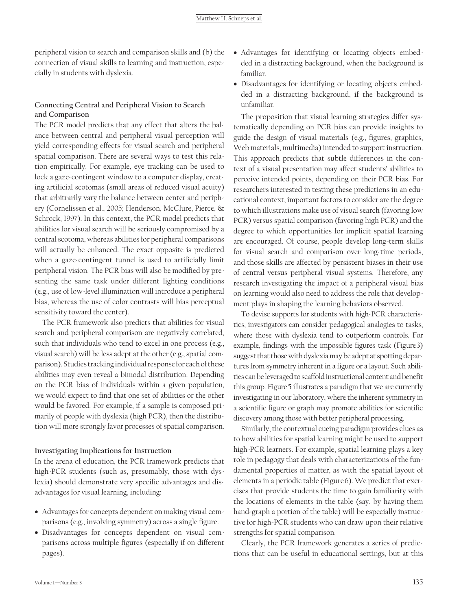peripheral vision to search and comparison skills and (b) the connection of visual skills to learning and instruction, especially in students with dyslexia.

# **Connecting Central and Peripheral Vision to Search and Comparison**

 The PCR model predicts that any effect that alters the balance between central and peripheral visual perception will yield corresponding effects for visual search and peripheral spatial comparison. There are several ways to test this relation empirically. For example, eye tracking can be used to lock a gaze-contingent window to a computer display, creating artificial scotomas (small areas of reduced visual acuity) that arbitrarily vary the balance between center and periphery (Cornelissen et al., 2005; Henderson, McClure, Pierce, & Schrock, 1997). In this context, the PCR model predicts that abilities for visual search will be seriously compromised by a central scotoma, whereas abilities for peripheral comparisons will actually be enhanced. The exact opposite is predicted when a gaze-contingent tunnel is used to artificially limit peripheral vision. The PCR bias will also be modified by presenting the same task under different lighting conditions (e.g., use of low-level illumination will introduce a peripheral bias, whereas the use of color contrasts will bias perceptual sensitivity toward the center).

 The PCR framework also predicts that abilities for visual search and peripheral comparison are negatively correlated, such that individuals who tend to excel in one process (e.g., visual search) will be less adept at the other (e.g., spatial comparison). Studies tracking individual response for each of these abilities may even reveal a bimodal distribution. Depending on the PCR bias of individuals within a given population, we would expect to find that one set of abilities or the other would be favored. For example, if a sample is composed primarily of people with dyslexia (high PCR), then the distribution will more strongly favor processes of spatial comparison.

#### **Investigating Implications for Instruction**

 In the arena of education, the PCR framework predicts that high-PCR students (such as, presumably, those with dyslexia) should demonstrate very specific advantages and disadvantages for visual learning, including:

- · Advantages for concepts dependent on making visual comparisons (e.g., involving symmetry) across a single figure.
- · Disadvantages for concepts dependent on visual comparisons across multiple figures (especially if on different pages).
- · Advantages for identifying or locating objects embedded in a distracting background, when the background is familiar.
- · Disadvantages for identifying or locating objects embedded in a distracting background, if the background is unfamiliar.

 The proposition that visual learning strategies differ systematically depending on PCR bias can provide insights to guide the design of visual materials (e.g., figures, graphics, Web materials, multimedia) intended to support instruction. This approach predicts that subtle differences in the context of a visual presentation may affect students' abilities to perceive intended points, depending on their PCR bias. For researchers interested in testing these predictions in an educational context, important factors to consider are the degree to which illustrations make use of visual search (favoring low PCR) versus spatial comparison (favoring high PCR) and the degree to which opportunities for implicit spatial learning are encouraged. Of course, people develop long-term skills for visual search and comparison over long-time periods, and those skills are affected by persistent biases in their use of central versus peripheral visual systems. Therefore, any research investigating the impact of a peripheral visual bias on learning would also need to address the role that development plays in shaping the learning behaviors observed.

 To devise supports for students with high-PCR characteristics, investigators can consider pedagogical analogies to tasks, where those with dyslexia tend to outperform controls. For example, findings with the impossible figures task (Figure 3) suggest that those with dyslexia may be adept at spotting departures from symmetry inherent in a figure or a layout. Such abilities can be leveraged to scaffold instructional content and benefit this group. Figure 5 illustrates a paradigm that we are currently investigating in our laboratory, where the inherent symmetry in a scientific figure or graph may promote abilities for scientific discovery among those with better peripheral processing.

 Similarly, the contextual cueing paradigm provides clues as to how abilities for spatial learning might be used to support high-PCR learners. For example, spatial learning plays a key role in pedagogy that deals with characterizations of the fundamental properties of matter, as with the spatial layout of elements in a periodic table (Figure 6). We predict that exercises that provide students the time to gain familiarity with the locations of elements in the table (say, by having them hand-graph a portion of the table) will be especially instructive for high-PCR students who can draw upon their relative strengths for spatial comparison.

 Clearly, the PCR framework generates a series of predictions that can be useful in educational settings, but at this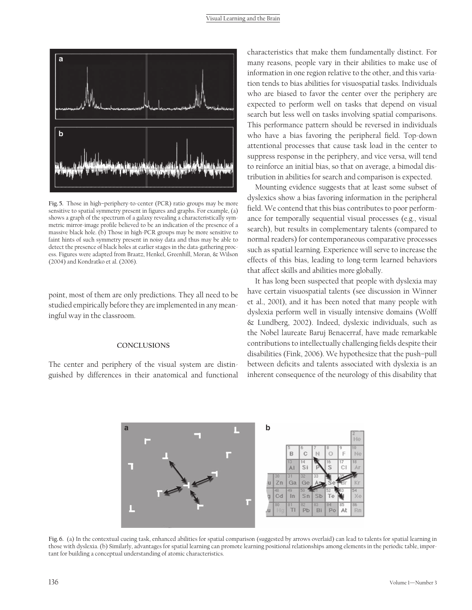

Fig. 5. Those in high-periphery-to-center (PCR) ratio groups may be more sensitive to spatial symmetry present in figures and graphs. For example, (a) shows a graph of the spectrum of a galaxy revealing a characteristically symmetric mirror-image profile believed to be an indication of the presence of a massive black hole. (b) Those in high-PCR groups may be more sensitive to faint hints of such symmetry present in noisy data and thus may be able to detect the presence of black holes at earlier stages in the data-gathering process. Figures were adapted from Braatz, Henkel, Greenhill, Moran, & Wilson (2004) and Kondratko et al. (2006) .

point, most of them are only predictions. They all need to be studied empirically before they are implemented in any meaningful way in the classroom.

#### **CONCLUSIONS**

 The center and periphery of the visual system are distinguished by differences in their anatomical and functional characteristics that make them fundamentally distinct. For many reasons, people vary in their abilities to make use of information in one region relative to the other, and this variation tends to bias abilities for visuospatial tasks. Individuals who are biased to favor the center over the periphery are expected to perform well on tasks that depend on visual search but less well on tasks involving spatial comparisons. This performance pattern should be reversed in individuals who have a bias favoring the peripheral field. Top-down attentional processes that cause task load in the center to suppress response in the periphery, and vice versa, will tend to reinforce an initial bias, so that on average, a bimodal distribution in abilities for search and comparison is expected.

 Mounting evidence suggests that at least some subset of dyslexics show a bias favoring information in the peripheral field. We contend that this bias contributes to poor performance for temporally sequential visual processes (e.g., visual search), but results in complementary talents (compared to normal readers) for contemporaneous comparative processes such as spatial learning. Experience will serve to increase the effects of this bias, leading to long-term learned behaviors that affect skills and abilities more globally.

 It has long been suspected that people with dyslexia may have certain visuospatial talents (see discussion in Winner et al., 2001), and it has been noted that many people with dyslexia perform well in visually intensive domains ( Wolff & Lundberg, 2002 ). Indeed, dyslexic individuals, such as the Nobel laureate Baruj Benacerraf, have made remarkable contributions to intellectually challenging fields despite their disabilities (Fink, 2006). We hypothesize that the push-pull between deficits and talents associated with dyslexia is an inherent consequence of the neurology of this disability that



**Fig. 6.** (a) In the contextual cueing task, enhanced abilities for spatial comparison (suggested by arrows overlaid) can lead to talents for spatial learning in those with dyslexia. (b) Similarly, advantages for spatial learning can promote learning positional relationships among elements in the periodic table, important for building a conceptual understanding of atomic characteristics.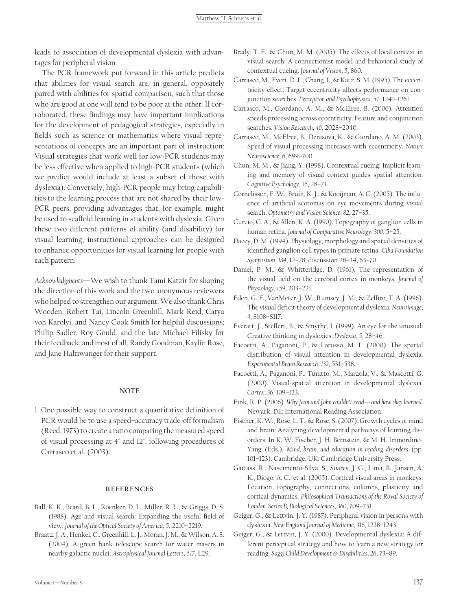leads to association of developmental dyslexia with advantages for peripheral vision.

 The PCR framework put forward in this article predicts that abilities for visual search are, in general, oppositely paired with abilities for spatial comparison, such that those who are good at one will tend to be poor at the other. If corroborated, these findings may have important implications for the development of pedagogical strategies, especially in fields such as science or mathematics where visual representations of concepts are an important part of instruction: Visual strategies that work well for low-PCR students may be less effective when applied to high-PCR students (which we predict would include at least a subset of those with dyslexia). Conversely, high-PCR people may bring capabilities to the learning process that are not shared by their low-PCR peers, providing advantages that, for example, might be used to scaffold learning in students with dyslexia. Given these two different patterns of ability (and disability) for visual learning, instructional approaches can be designed to enhance opportunities for visual learning for people with each pattern.

*Acknowledgments* — We wish to thank Tami Katzir for shaping the direction of this work and the two anonymous reviewers who helped to strengthen our argument. We also thank Chris Wooden, Robert Tai, Lincoln Greenhill, Mark Reid, Catya von Karolyi, and Nancy Cook Smith for helpful discussions; Philip Sadler, Roy Gould, and the late Michael Filisky for their feedback; and most of all, Randy Goodman, Kaylin Rose, and Jane Haltiwanger for their support.

#### **NOTE**

1 One possible way to construct a quantitative definition of PCR would be to use a speed-accuracy trade-off formalism ( Reed, 1973 ) to create a ratio comparing the measured speed of visual processing at 4° and 12°, following procedures of Carrasco et al. (2003).

#### **REFERENCES**

- Ball, K. K., Beard, B. L., Roenker, D. L., Miller, R. L., & Griggs, D. S. (1988). Age and visual search: Expanding the useful field of view. Journal of the Optical Society of America, 5, 2210-2219.
- Braatz, J. A., Henkel, C., Greenhill, L. J., Moran, J. M., & Wilson, A. S. (2004). A green bank telescope search for water masers in nearby galactic nuclei . *Astrophysical Journal Letters* , *617* , L29 .
- Brady, T. F.,  $\&$  Chun, M. M. (2005). The effects of local context in visual search: A connectionist model and behavioral study of contextual cueing. *Journal of Vision*, 5, 860.
- Carrasco, M., Evert, D. L., Chang, I., & Katz, S. M. (1995). The eccentricity effect: Target eccentricity affects performance on conjunction searches. *Perception and Psychophysics*, 57, 1241-1261.
- Carrasco, M., Giordano, A. M., & McElree, B. (2006). Attention speeds processing across eccentricity: Feature and conjunction searches. Vision Research, 46, 2028-2040.
- Carrasco, M., McElree, B., Denisova, K., & Giordano, A. M. (2003). Speed of visual processing increases with eccentricity . *Nature Neuroscience* , *6* , 699 – 700 .
- Chun, M. M., & Jiang, Y. (1998). Contextual cueing: Implicit learning and memory of visual context guides spatial attention. *Cognitive Psychology*, 36, 28-71.
- Cornelissen, F. W., Bruin, K. J., & Kooijman, A. C. (2005). The influence of artificial scotomas on eye movements during visual search. Optometry and Vision Science, 82, 27-35.
- Curcio, C. A., & Allen, K. A. (1990). Topography of ganglion cells in human retina. *Journal of Comparative Neurology*, 300, 5-25.
- Dacey , D. M. ( 1994 ). Physiology, morphology and spatial densities of identified ganglion cell types in primate retina. *Ciba Foundation Symposium* , *184* , 12 – 28 ; discussion 28 – 34 , 63 – 70 .
- Daniel, P. M., & Whitteridge, D. (1961). The representation of the visual field on the cerebral cortex in monkeys. *Journal of Physiology* , *159* , 203 – 221 .
- Eden, G. F., VanMeter, J. W., Rumsey, J. M., & Zeffiro, T. A. (1996). The visual deficit theory of developmental dyslexia. *Neuroimage*, *4* , S108 – S117 .
- Everatt, J., Steffert, B., & Smythe, I. (1999). An eye for the unusual: Creative thinking in dyslexics . *Dyslexia* , *5* , 28 – 46 .
- Facoetti, A., Paganoni, P., & Lorusso, M. L. (2000). The spatial distribution of visual attention in developmental dyslexia . Experimental Brain Research, 132, 531-538.
- Facoetti, A., Paganoni, P., Turatto, M., Marzola, V., & Mascetti, G. (2000). Visual-spatial attention in developmental dyslexia. Cortex, 36, 109-123.
- Fink, R. P. (2006). Why Jean and John couldn't read—and how they learned. Newark, DE: International Reading Association.
- Fischer, K. W., Rose, L. T., & Rose, S. (2007). Growth cycles of mind and brain: Analyzing developmental pathways of learning disorders. In K. W. Fischer, J. H. Bernstein, & M. H. Immordino-Yang (Eds.), Mind, brain, and education in reading disorders (pp. 101-123). Cambridge, UK: Cambridge University Press.
- Gattass, R., Nascimento-Silva, S., Soares, J. G., Lima, B., Jansen, A. K., Diogo, A. C., et al. (2005). Cortical visual areas in monkeys: Location, topography, connections, columns, plasticity and cortical dynamics . *Philosophical Transactions of the Royal Society of London. Series B, Biological Sciences* , *360* , 709 – 731 .
- Geiger, G., & Lettvin, J. Y. (1987). Peripheral vision in persons with dyslexia . *New England Journal of Medicine* , *316* , 1238 – 1243 .
- Geiger, G., & Lettvin, J. Y. (2000). Developmental dyslexia: A different perceptual strategy and how to learn a new strategy for reading. Saggi Child Development & Disabilities, 26, 73-89.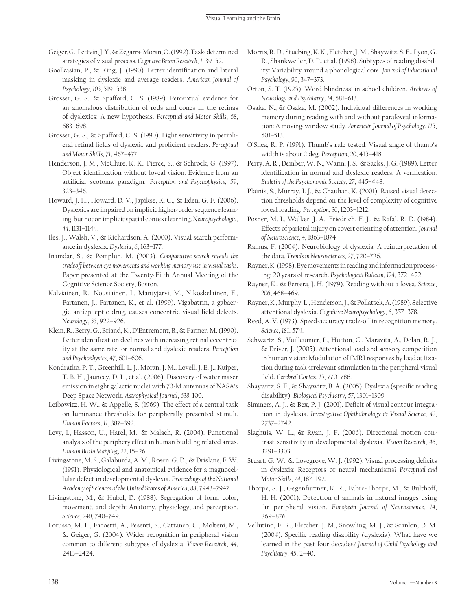Geiger, G., Lettvin, J.Y., & Zegarra-Moran, O. (1992). Task-determined strategies of visual process. *Cognitive Brain Research*, 1, 39-52.

- Goolkasian, P., & King, J. (1990). Letter identification and lateral masking in dyslexic and average readers . *American Journal of Psychology* , *103* , 519 – 538 .
- Grosser, G. S., & Spafford, C. S. (1989). Perceptual evidence for an anomalous distribution of rods and cones in the retinas of dyslexics: A new hypothesis . *Perceptual and Motor Skills* , *68* , 683-698
- Grosser, G. S., & Spafford, C. S. (1990). Light sensitivity in peripheral retinal fields of dyslexic and proficient readers. Perceptual *and Motor Skills* , *71* , 467 – 477 .
- Henderson, J. M., McClure, K. K., Pierce, S., & Schrock, G. (1997). Object identification without foveal vision: Evidence from an artificial scotoma paradigm. Perception and Psychophysics, 59, 323 – 346.
- Howard, J. H., Howard, D. V., Japikse, K. C., & Eden, G. F. (2006). Dyslexics are impaired on implicit higher-order sequence learning, but not on implicit spatial context learning . *Neuropsychologia* , 44, 1131-1144.
- Iles, J., Walsh, V., & Richardson, A. (2000). Visual search performance in dyslexia . *Dyslexia* , *6* , 163 – 177 .
- Inamdar, S., & Pomplun, M. (2003). *Comparative search reveals the tradeoff between eye movements and working memory use in visual tasks* . Paper presented at the Twenty-Fifth Annual Meeting of the Cognitive Science Society, Boston .
- Kalviainen, R., Nousiainen, I., Mantyjarvi, M., Nikoskelainen, E., Partanen, J., Partanen, K., et al. (1999). Vigabatrin, a gabaergic antiepileptic drug, causes concentric visual field defects. *Neurology* , *53* , 922 – 926 .
- Klein, R., Berry, G., Briand, K., D'Entremont, B., & Farmer, M. (1990). Letter identification declines with increasing retinal eccentricity at the same rate for normal and dyslexic readers . *Perception and Psychophysics* , *47* , 601 – 606 .
- Kondratko, P. T., Greenhill, L. J., Moran, J. M., Lovell, J. E. J., Kuiper, T. B. H., Jauncey, D. L., et al. (2006). Discovery of water maser emission in eight galactic nuclei with 70-M antennas of NASA's Deep Space Network . *Astrophysical Journal* , *638* , 100 .
- Leibowitz, H. W., & Appelle, S. (1969). The effect of a central task on luminance thresholds for peripherally presented stimuli. *Human Factors* , *11* , 387 – 392 .
- Levy, I., Hasson, U., Harel, M., & Malach, R. (2004). Functional analysis of the periphery effect in human building related areas . *Human Brain Mapping*, 22, 15-26.
- Livingstone, M. S., Galaburda, A. M., Rosen, G. D., & Drislane, F. W. (1991). Physiological and anatomical evidence for a magnocellular defect in developmental dyslexia . *Proceedings of the National Academy of Sciences of the United States of America* , *88* , 7943 – 7947 .
- Livingstone, M., & Hubel, D. (1988). Segregation of form, color, movement, and depth: Anatomy, physiology, and perception. Science, 240, 740-749.
- Lorusso, M. L., Facoetti, A., Pesenti, S., Cattaneo, C., Molteni, M., & Geiger , G . ( 2004 ). Wider recognition in peripheral vision common to different subtypes of dyslexia . *Vision Research* , *44* , 2413-2424.
- Morris, R. D., Stuebing, K. K., Fletcher, J. M., Shaywitz, S. E., Lyon, G. R., Shankweiler, D. P., et al. (1998). Subtypes of reading disability: Variability around a phonological core . *Journal of Educational Psychology* , *90* , 347 – 373 .
- Orton, S. T. (1925). Word blindness' in school children. Archives of Neurology and Psychiatry, 14, 581-613.
- Osaka, N., & Osaka, M. (2002). Individual differences in working memory during reading with and without parafoveal information: A moving-window study . *American Journal of Psychology* , *115* ,  $501 - 513$ .
- O'Shea, R. P. (1991). Thumb's rule tested: Visual angle of thumb's width is about 2 deg . *Perception* , *20* , 415 – 418 .
- Perry, A. R., Dember, W. N., Warm, J. S., & Sacks, J. G. (1989). Letter identification in normal and dyslexic readers: A verification. *Bulletin of the Psychonomic Society* , *27* , 445 – 448 .
- Plainis, S., Murray, I. J., & Chauhan, K. (2001). Raised visual detection thresholds depend on the level of complexity of cognitive foveal loading . *Perception* , *30* , 1203 – 1212 .
- Posner, M. I., Walker, J. A., Friedrich, F. J., & Rafal, R. D. (1984). Effects of parietal injury on covert orienting of attention . *Journal of Neuroscience* , *4* , 1863 – 1874 .
- Ramus, F. (2004). Neurobiology of dyslexia: A reinterpretation of the data. *Trends in Neurosciences*, 27, 720-726.
- Rayner, K. (1998). Eye movements in reading and information processing: 20 years of research . *Psychological Bulletin* , *124* , 372 – 422 .
- Rayner, K., & Bertera, J. H. (1979). Reading without a fovea. Science, *206* , 468 – 469 .
- Rayner, K., Murphy, L., Henderson, J., & Pollatsek, A. (1989). Selective attentional dyslexia . *Cognitive Neuropsychology* , *6* , 357 – 378 .
- Reed, A. V. (1973). Speed-accuracy trade-off in recognition memory. *Science* , *181* , 574 .
- Schwartz, S., Vuilleumier, P., Hutton, C., Maravita, A., Dolan, R. J., & Driver, J. (2005). Attentional load and sensory competition in human vision: Modulation of fMRI responses by load at fixation during task-irrelevant stimulation in the peripheral visual field. *Cerebral Cortex*, 15, 770-786.
- Shaywitz, S. E., & Shaywitz, B. A. (2005). Dyslexia (specific reading disability). *Biological Psychiatry*, 57, 1301-1309.
- Simmers, A. J., & Bex, P. J. (2001). Deficit of visual contour integration in dyslexia. *Investigative Ophthalmology & Visual Science*, 42, 2737-2742.
- Slaghuis, W. L., & Ryan, J. F. (2006). Directional motion contrast sensitivity in developmental dyslexia . *Vision Research* , *46* , 3291 – 3303
- Stuart, G. W., & Lovegrove, W. J. (1992). Visual processing deficits in dyslexia: Receptors or neural mechanisms? *Perceptual and Motor Skills* , *74* , 187 – 192 .
- Thorpe, S. J., Gegenfurtner, K. R., Fabre-Thorpe, M., & Bulthoff, H. H. (2001). Detection of animals in natural images using far peripheral vision. *European Journal of Neuroscience*, 14, 869-876.
- Vellutino, F. R., Fletcher, J. M., Snowling, M. J., & Scanlon, D. M. (2004). Specific reading disability (dyslexia): What have we learned in the past four decades? *Journal of Child Psychology and Psychiatry*, 45, 2-40.